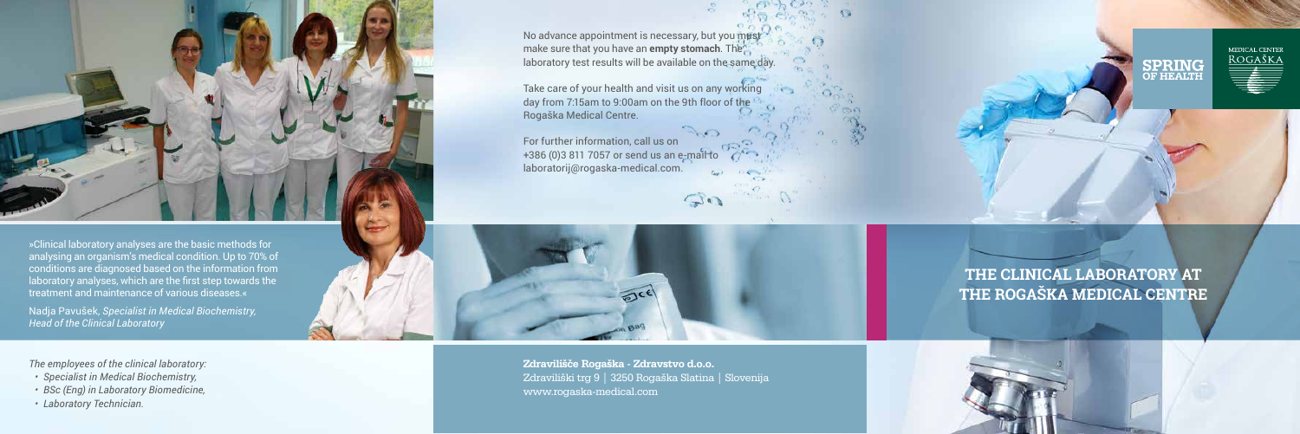No advance appointment is necessary, but you must make sure that you have an **empty stomach**. The laboratory test results will be available on the same day.

Take care of your health and visit us on any working day from 7:15am to 9:00am on the 9th floor of the Rogaška Medical Centre.

For further information, call us on +386 (0)3 811 7057 or send us an e-mail to laboratorij@rogaska-medical.com.









*The employees of the clinical laboratory:*

- *• Specialist in Medical Biochemistry,*
- *• BSc (Eng) in Laboratory Biomedicine,*
- *• Laboratory Technician.*

# **THE CLINICAL LABORATORY AT THE ROGAŠKA MEDICAL CENTRE**



»Clinical laboratory analyses are the basic methods for analysing an organism's medical condition. Up to 70% of conditions are diagnosed based on the information from laboratory analyses, which are the first step towards the treatment and maintenance of various diseases.«

Nadja Pavušek, *Specialist in Medical Biochemistry, Head of the Clinical Laboratory*